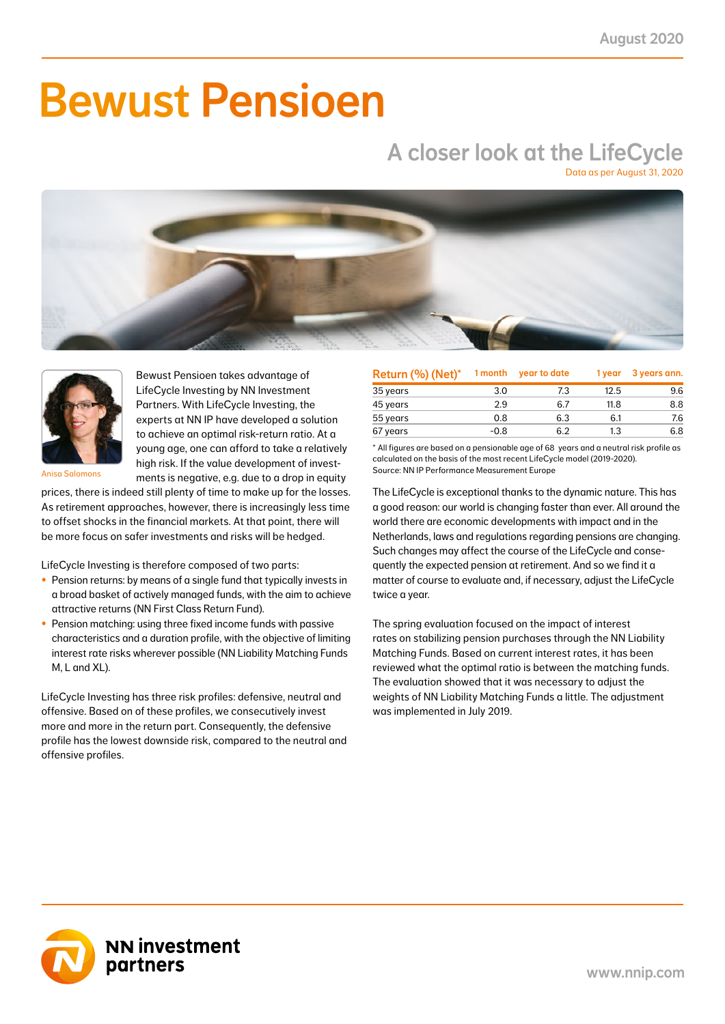# Bewust Pensioen

## A closer look at the LifeCycle

Data as per August 31, 2020





Bewust Pensioen takes advantage of LifeCycle Investing by NN Investment Partners. With LifeCycle Investing, the experts at NN IP have developed a solution to achieve an optimal risk-return ratio. At a young age, one can afford to take a relatively high risk. If the value development of investments is negative, e.g. due to a drop in equity

Anisa Salomons

prices, there is indeed still plenty of time to make up for the losses. As retirement approaches, however, there is increasingly less time to offset shocks in the financial markets. At that point, there will be more focus on safer investments and risks will be hedged.

LifeCycle Investing is therefore composed of two parts:

- Pension returns: by means of a single fund that typically invests in a broad basket of actively managed funds, with the aim to achieve attractive returns (NN First Class Return Fund).
- Pension matching: using three fixed income funds with passive characteristics and a duration profile, with the objective of limiting interest rate risks wherever possible (NN Liability Matching Funds M, L and XL).

LifeCycle Investing has three risk profiles: defensive, neutral and offensive. Based on of these profiles, we consecutively invest more and more in the return part. Consequently, the defensive profile has the lowest downside risk, compared to the neutral and offensive profiles.

| Return (%) (Net)* | 1 month | year to date | 1 year | 3 years ann. |
|-------------------|---------|--------------|--------|--------------|
| 35 years          | 3.0     | 7.3          | 12.5   | 9.6          |
| 45 years          | 2.9     | 6.7          | 11.8   | 8.8          |
| 55 years          | 0.8     | 6.3          | 6.1    | 7.6          |
| 67 years          | $-0.8$  | 6.2          | 1.3    | 6.8          |

\* All figures are based on a pensionable age of 68 years and a neutral risk profile as calculated on the basis of the most recent LifeCycle model (2019-2020). Source: NN IP Performance Measurement Europe

The LifeCycle is exceptional thanks to the dynamic nature. This has a good reason: our world is changing faster than ever. All around the world there are economic developments with impact and in the Netherlands, laws and regulations regarding pensions are changing. Such changes may affect the course of the LifeCycle and consequently the expected pension at retirement. And so we find it a matter of course to evaluate and, if necessary, adjust the LifeCycle twice a year.

The spring evaluation focused on the impact of interest rates on stabilizing pension purchases through the NN Liability Matching Funds. Based on current interest rates, it has been reviewed what the optimal ratio is between the matching funds. The evaluation showed that it was necessary to adjust the weights of NN Liability Matching Funds a little. The adjustment was implemented in July 2019.

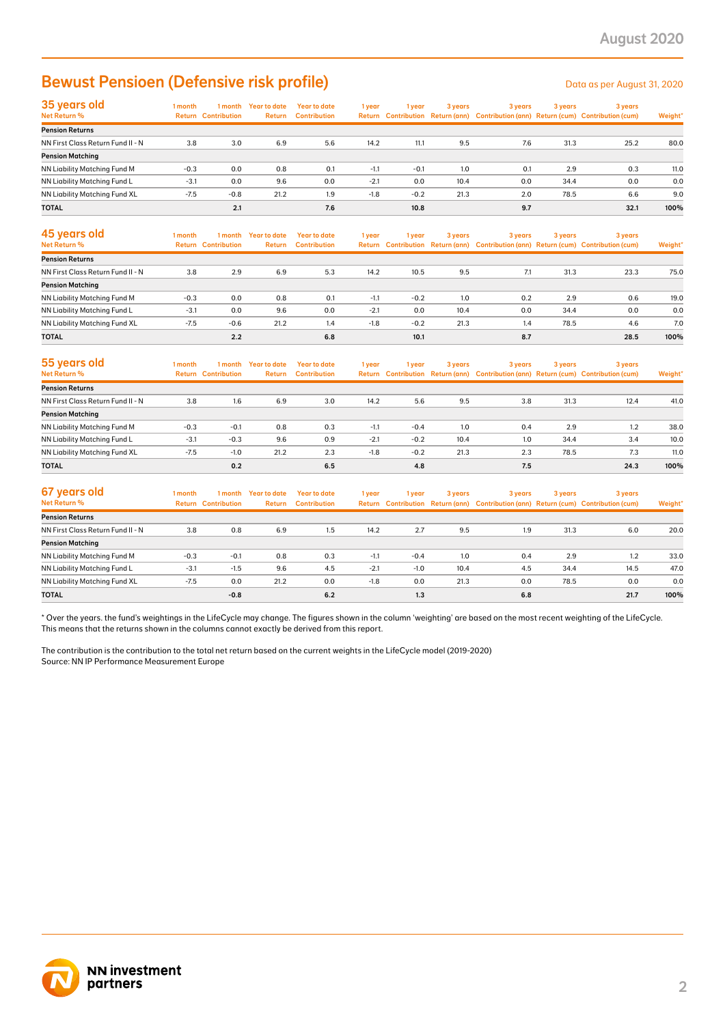### Bewust Pensioen (Defensive risk profile) Data as per August 31, 2020

| 35 years old                        | 1 month |                            | I month Year to date | Year to date        | 1 year | l year | 3 years | 3 years | 3 years | 3 years                                                                             |         |
|-------------------------------------|---------|----------------------------|----------------------|---------------------|--------|--------|---------|---------|---------|-------------------------------------------------------------------------------------|---------|
| Net Return %                        |         | <b>Return Contribution</b> | <b>Return</b>        | <b>Contribution</b> |        |        |         |         |         | Return Contribution Return (ann) Contribution (ann) Return (cum) Contribution (cum) | Weight* |
| <b>Pension Returns</b>              |         |                            |                      |                     |        |        |         |         |         |                                                                                     |         |
| NN First Class Return Fund II - N   | 3.8     | 3.0                        | 6.9                  | 5.6                 | 14.2   | 11.1   | 9.5     | 7.6     | 31.3    | 25.2                                                                                | 80.0    |
| <b>Pension Matching</b>             |         |                            |                      |                     |        |        |         |         |         |                                                                                     |         |
| <b>NN Liability Matching Fund M</b> | $-0.3$  | 0.0                        | 0.8                  | 0.1                 | $-1.1$ | $-0.1$ | 1.0     | 0.1     | 2.9     | 0.3                                                                                 | 11.0    |
| NN Liability Matching Fund L        | $-3.1$  | 0.0                        | 9.6                  | 0.0                 | $-2.1$ | 0.0    | 10.4    | 0.0     | 34.4    | 0.0                                                                                 | 0.0     |
| NN Liability Matching Fund XL       | $-7.5$  | $-0.8$                     | 21.2                 | 1.9                 | $-1.8$ | $-0.2$ | 21.3    | 2.0     | 78.5    | 6.6                                                                                 | 9.0     |
| <b>TOTAL</b>                        |         | 2.1                        |                      | 7.6                 |        | 10.8   |         | 9.7     |         | 32.1                                                                                | 100%    |

| 45 years old<br>Net Return %      | 1 month | 1 month<br><b>Return Contribution</b> | Year to date<br><b>Return</b> | Year to date<br><b>Contribution</b> | 1 year | 1 vear | 3 years | 3 years | 3 years | 3 years<br>Return Contribution Return (ann) Contribution (ann) Return (cum) Contribution (cum) | Weight* |
|-----------------------------------|---------|---------------------------------------|-------------------------------|-------------------------------------|--------|--------|---------|---------|---------|------------------------------------------------------------------------------------------------|---------|
| <b>Pension Returns</b>            |         |                                       |                               |                                     |        |        |         |         |         |                                                                                                |         |
| NN First Class Return Fund II - N | 3.8     | 2.9                                   | 6.9                           | 5.3                                 | 14.2   | 10.5   | 9.5     | 7.1     | 31.3    | 23.3                                                                                           | 75.0    |
| <b>Pension Matching</b>           |         |                                       |                               |                                     |        |        |         |         |         |                                                                                                |         |
| NN Liability Matching Fund M      | $-0.3$  | 0.0                                   | 0.8                           | 0.1                                 | $-1.1$ | $-0.2$ | 1.0     | 0.2     | 2.9     | 0.6                                                                                            | 19.0    |
| NN Liability Matching Fund L      | $-3.1$  | 0.0                                   | 9.6                           | 0.0                                 | $-2.1$ | 0.0    | 10.4    | 0.0     | 34.4    | 0.0                                                                                            | 0.0     |
| NN Liability Matching Fund XL     | $-7.5$  | $-0.6$                                | 21.2                          | 1.4                                 | $-1.8$ | $-0.2$ | 21.3    | 1.4     | 78.5    | 4.6                                                                                            | 7.0     |
| <b>TOTAL</b>                      |         | 2.2                                   |                               | 6.8                                 |        | 10.1   |         | 8.7     |         | 28.5                                                                                           | 100%    |

| 55 years old<br><b>Net Return %</b> | I month | 1 month<br><b>Return Contribution</b> | Year to date<br>Return | <b>Year to date</b><br><b>Contribution</b> | 1 year | 1 vear | 3 years | 3 years | 3 years | 3 years<br>Return Contribution Return (ann) Contribution (ann) Return (cum) Contribution (cum) | Weight* |
|-------------------------------------|---------|---------------------------------------|------------------------|--------------------------------------------|--------|--------|---------|---------|---------|------------------------------------------------------------------------------------------------|---------|
| <b>Pension Returns</b>              |         |                                       |                        |                                            |        |        |         |         |         |                                                                                                |         |
| NN First Class Return Fund II - N   | 3.8     | 1.6                                   | 6.9                    | 3.0                                        | 14.2   | 5.6    | 9.5     | 3.8     | 31.3    | 12.4                                                                                           | 41.0    |
| <b>Pension Matching</b>             |         |                                       |                        |                                            |        |        |         |         |         |                                                                                                |         |
| NN Liability Matching Fund M        | $-0.3$  | $-0.1$                                | 0.8                    | 0.3                                        | $-1.1$ | $-0.4$ | 1.0     | 0.4     | 2.9     | 1.2                                                                                            | 38.0    |
| NN Liability Matching Fund L        | $-3.1$  | $-0.3$                                | 9.6                    | 0.9                                        | $-2.1$ | $-0.2$ | 10.4    | 1.0     | 34.4    | 3.4                                                                                            | 10.0    |
| NN Liability Matching Fund XL       | $-7.5$  | $-1.0$                                | 21.2                   | 2.3                                        | $-1.8$ | $-0.2$ | 21.3    | 2.3     | 78.5    | 7.3                                                                                            | 11.0    |
| <b>TOTAL</b>                        |         | 0.2                                   |                        | 6.5                                        |        | 4.8    |         | 7.5     |         | 24.3                                                                                           | 100%    |

| 67 years old<br>Net Return %      | I month | 1 month<br><b>Return Contribution</b> | Year to date<br>Return | Year to date<br>Contribution | 1 year | 1 year | 3 years | 3 years | 3 years | 3 years<br>Return Contribution Return (ann) Contribution (ann) Return (cum) Contribution (cum) | Weight* |
|-----------------------------------|---------|---------------------------------------|------------------------|------------------------------|--------|--------|---------|---------|---------|------------------------------------------------------------------------------------------------|---------|
| <b>Pension Returns</b>            |         |                                       |                        |                              |        |        |         |         |         |                                                                                                |         |
| NN First Class Return Fund II - N | 3.8     | 0.8                                   | 6.9                    | 1.5                          | 14.2   | 2.7    | 9.5     | 1.9     | 31.3    | 6.0                                                                                            | 20.0    |
| <b>Pension Matching</b>           |         |                                       |                        |                              |        |        |         |         |         |                                                                                                |         |
| NN Liability Matching Fund M      | $-0.3$  | $-0.1$                                | 0.8                    | 0.3                          | $-1.1$ | $-0.4$ | 1.0     | 0.4     | 2.9     | 1.2                                                                                            | 33.0    |
| NN Liability Matching Fund L      | $-3.1$  | $-1.5$                                | 9.6                    | 4.5                          | $-2.1$ | $-1.0$ | 10.4    | 4.5     | 34.4    | 14.5                                                                                           | 47.0    |
| NN Liability Matching Fund XL     | $-7.5$  | 0.0                                   | 21.2                   | 0.0                          | $-1.8$ | 0.0    | 21.3    | 0.0     | 78.5    | 0.0                                                                                            | 0.0     |
| <b>TOTAL</b>                      |         | $-0.8$                                |                        | 6.2                          |        | 1.3    |         | 6.8     |         | 21.7                                                                                           | 100%    |

\* Over the years. the fund's weightings in the LifeCycle may change. The figures shown in the column 'weighting' are based on the most recent weighting of the LifeCycle. This means that the returns shown in the columns cannot exactly be derived from this report.

The contribution is the contribution to the total net return based on the current weights in the LifeCycle model (2019-2020) Source: NN IP Performance Measurement Europe

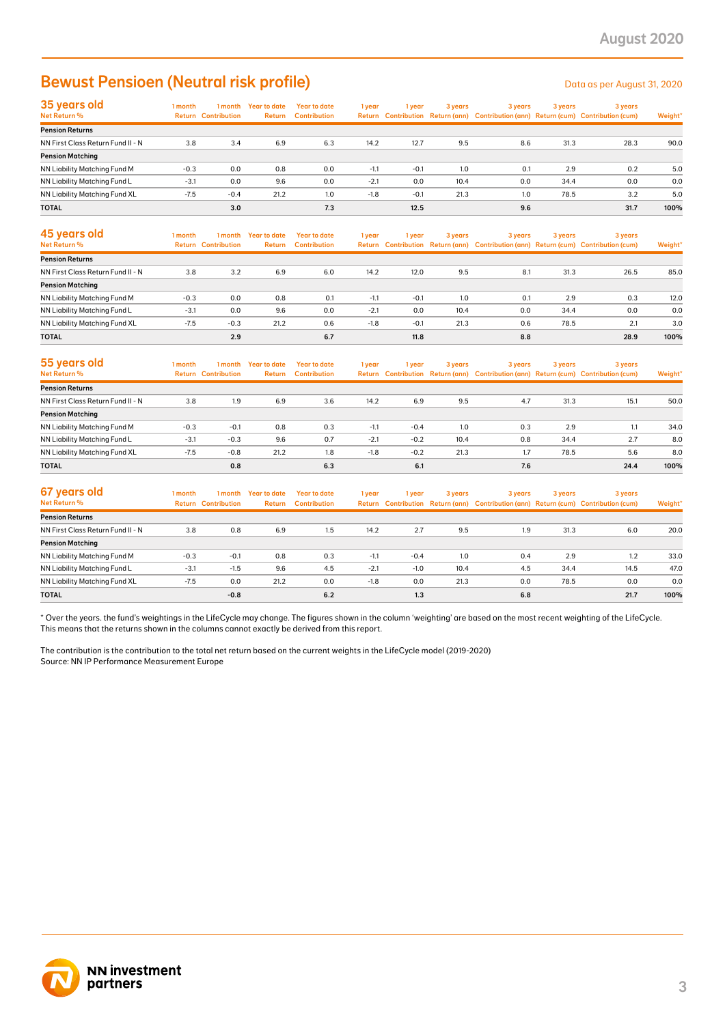### Bewust Pensioen (Neutral risk profile) Data as per August 31, 2020

| 35 years old                      | l month | 1 month                    | Year to date | <b>Year to date</b> | 1 year | l year | 3 years | 3 years | 3 years | 3 years                                                                             |         |
|-----------------------------------|---------|----------------------------|--------------|---------------------|--------|--------|---------|---------|---------|-------------------------------------------------------------------------------------|---------|
| Net Return %                      |         | <b>Return Contribution</b> | Return       | <b>Contribution</b> |        |        |         |         |         | Return Contribution Return (ann) Contribution (ann) Return (cum) Contribution (cum) | Weight* |
| <b>Pension Returns</b>            |         |                            |              |                     |        |        |         |         |         |                                                                                     |         |
| NN First Class Return Fund II - N | 3.8     | 3.4                        | 6.9          | 6.3                 | 14.2   | 12.7   | 9.5     | 8.6     | 31.3    | 28.3                                                                                | 90.0    |
| <b>Pension Matching</b>           |         |                            |              |                     |        |        |         |         |         |                                                                                     |         |
| NN Liability Matching Fund M      | $-0.3$  | 0.0                        | 0.8          | 0.0                 | $-1.1$ | $-0.1$ | 1.0     | 0.1     | 2.9     | 0.2                                                                                 | 5.0     |
| NN Liability Matching Fund L      | $-3.1$  | 0.0                        | 9.6          | 0.0                 | $-2.1$ | 0.0    | 10.4    | 0.0     | 34.4    | 0.0                                                                                 | 0.0     |
| NN Liability Matching Fund XL     | $-7.5$  | $-0.4$                     | 21.2         | 1.0                 | $-1.8$ | $-0.1$ | 21.3    | 1.0     | 78.5    | 3.2                                                                                 | 5.0     |
| <b>TOTAL</b>                      |         | 3.0                        |              | 7.3                 |        | 12.5   |         | 9.6     |         | 31.7                                                                                | 100%    |

| 45 years old<br>Net Return %      | l month | 1 month<br><b>Return Contribution</b> | Year to date<br>Return | Year to date<br><b>Contribution</b> | 1 year | 1 vear | 3 years | 3 years | 3 years | 3 years<br>Return Contribution Return (ann) Contribution (ann) Return (cum) Contribution (cum) | Weight* |
|-----------------------------------|---------|---------------------------------------|------------------------|-------------------------------------|--------|--------|---------|---------|---------|------------------------------------------------------------------------------------------------|---------|
| <b>Pension Returns</b>            |         |                                       |                        |                                     |        |        |         |         |         |                                                                                                |         |
| NN First Class Return Fund II - N | 3.8     | 3.2                                   | 6.9                    | 6.0                                 | 14.2   | 12.0   | 9.5     | 8.1     | 31.3    | 26.5                                                                                           | 85.0    |
| <b>Pension Matching</b>           |         |                                       |                        |                                     |        |        |         |         |         |                                                                                                |         |
| NN Liability Matching Fund M      | $-0.3$  | 0.0                                   | 0.8                    | 0.1                                 | $-1.1$ | $-0.1$ | 1.0     | 0.1     | 2.9     | 0.3                                                                                            | 12.0    |
| NN Liability Matching Fund L      | $-3.1$  | 0.0                                   | 9.6                    | 0.0                                 | $-2.1$ | 0.0    | 10.4    | 0.0     | 34.4    | 0.0                                                                                            | 0.0     |
| NN Liability Matching Fund XL     | $-7.5$  | $-0.3$                                | 21.2                   | 0.6                                 | $-1.8$ | $-0.1$ | 21.3    | 0.6     | 78.5    | 2.1                                                                                            | 3.0     |
| <b>TOTAL</b>                      |         | 2.9                                   |                        | 6.7                                 |        | 11.8   |         | 8.8     |         | 28.9                                                                                           | 100%    |

| 55 years old                      | l month | 1 month                    | <b>Year to date</b> | <b>Year to date</b> | 1 year | 1 year | 3 years | 3 years | 3 years | 3 years                                                                             |         |
|-----------------------------------|---------|----------------------------|---------------------|---------------------|--------|--------|---------|---------|---------|-------------------------------------------------------------------------------------|---------|
| <b>Net Return %</b>               |         | <b>Return Contribution</b> | Return              | <b>Contribution</b> |        |        |         |         |         | Return Contribution Return (ann) Contribution (ann) Return (cum) Contribution (cum) | Weight* |
| <b>Pension Returns</b>            |         |                            |                     |                     |        |        |         |         |         |                                                                                     |         |
| NN First Class Return Fund II - N | 3.8     | 1.9                        | 6.9                 | 3.6                 | 14.2   | 6.9    | 9.5     | 4.7     | 31.3    | 15.7                                                                                | 50.0    |
| <b>Pension Matching</b>           |         |                            |                     |                     |        |        |         |         |         |                                                                                     |         |
| NN Liability Matching Fund M      | $-0.3$  | $-0.1$                     | 0.8                 | 0.3                 | $-1.1$ | $-0.4$ | 1.0     | 0.3     | 2.9     |                                                                                     | 34.0    |
| NN Liability Matching Fund L      | $-3.1$  | $-0.3$                     | 9.6                 | 0.7                 | $-2.1$ | $-0.2$ | 10.4    | 0.8     | 34.4    | 2.7                                                                                 | 8.0     |
| NN Liability Matching Fund XL     | $-7.5$  | $-0.8$                     | 21.2                | 1.8                 | $-1.8$ | $-0.2$ | 21.3    | 1.7     | 78.5    | 5.6                                                                                 | 8.0     |
| <b>TOTAL</b>                      |         | 0.8                        |                     | 6.3                 |        | 6.1    |         | 7.6     |         | 24.4                                                                                | 100%    |

| 67 years old<br>Net Return %      | 1 month | 1 month<br><b>Return Contribution</b> | Year to date<br>Return | Year to date<br><b>Contribution</b> | 1 year | 1 year | 3 years | 3 years | 3 years | 3 years<br>Return Contribution Return (ann) Contribution (ann) Return (cum) Contribution (cum) | Weight* |
|-----------------------------------|---------|---------------------------------------|------------------------|-------------------------------------|--------|--------|---------|---------|---------|------------------------------------------------------------------------------------------------|---------|
|                                   |         |                                       |                        |                                     |        |        |         |         |         |                                                                                                |         |
| <b>Pension Returns</b>            |         |                                       |                        |                                     |        |        |         |         |         |                                                                                                |         |
| NN First Class Return Fund II - N | 3.8     | 0.8                                   | 6.9                    | 1.5                                 | 14.2   | 2.7    | 9.5     | 1.9     | 31.3    | 6.0                                                                                            | 20.0    |
| <b>Pension Matching</b>           |         |                                       |                        |                                     |        |        |         |         |         |                                                                                                |         |
| NN Liability Matching Fund M      | $-0.3$  | $-0.1$                                | 0.8                    | 0.3                                 | $-1.1$ | $-0.4$ | 1.0     | 0.4     | 2.9     | 1.2                                                                                            | 33.0    |
| NN Liability Matching Fund L      | $-3.1$  | $-1.5$                                | 9.6                    | 4.5                                 | $-2.1$ | $-1.0$ | 10.4    | 4.5     | 34.4    | 14.5                                                                                           | 47.0    |
| NN Liability Matching Fund XL     | $-7.5$  | 0.0                                   | 21.2                   | 0.0                                 | $-1.8$ | 0.0    | 21.3    | 0.0     | 78.5    | 0.0                                                                                            | 0.0     |
| <b>TOTAL</b>                      |         | $-0.8$                                |                        | 6.2                                 |        | 1.3    |         | 6.8     |         | 21.7                                                                                           | 100%    |

\* Over the years. the fund's weightings in the LifeCycle may change. The figures shown in the column 'weighting' are based on the most recent weighting of the LifeCycle. This means that the returns shown in the columns cannot exactly be derived from this report.

The contribution is the contribution to the total net return based on the current weights in the LifeCycle model (2019-2020) Source: NN IP Performance Measurement Europe